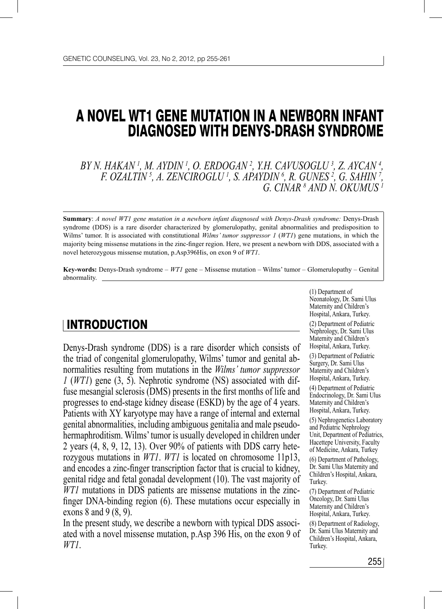# A NOVEL WT1 GENE MUTATION IN A NEWBORN INFANT DIAGNOSED WITH DENYS-DRASH SYNDROME

*BY N. HAKAN 1 , M. AYDIN 1 , O. ERDOGAN 2 , Y.H. CAVUSOGLU 3 , Z. AYCAN 4 , F. OZALTIN 5 , A. ZENCIROGLU 1 , S. APAYDIN 6 , R. GUNES 2 , G. SAHIN 7 , G. CINAR 8 AND N. OKUMUS 1*

**Summary**: *A novel WT1 gene mutation in a newborn infant diagnosed with Denys-Drash syndrome:* Denys-Drash syndrome (DDS) is a rare disorder characterized by glomerulopathy, genital abnormalities and predisposition to Wilms' tumor. It is associated with constitutional *Wilms' tumor suppressor 1* (*WT1*) gene mutations, in which the majority being missense mutations in the zinc-finger region. Here, we present a newborn with DDS, associated with a novel heterozygous missense mutation, p.Asp396His, on exon 9 of *WT1*.

**Key-words:** Denys-Drash syndrome – *WT1* gene – Missense mutation – Wilms' tumor – Glomerulopathy – Genital abnormality.

#### **INTRODUCTION**

Denys-Drash syndrome (DDS) is a rare disorder which consists of the triad of congenital glomerulopathy, Wilms' tumor and genital abnormalities resulting from mutations in the *Wilms' tumor suppressor 1* (*WT1*) gene (3, 5). Nephrotic syndrome (NS) associated with diffuse mesangial sclerosis (DMS) presents in the first months of life and progresses to end-stage kidney disease (ESKD) by the age of 4 years. Patients with XY karyotype may have a range of internal and external genital abnormalities, including ambiguous genitalia and male pseudohermaphroditism. Wilms' tumor is usually developed in children under 2 years (4, 8, 9, 12, 13). Over 90% of patients with DDS carry heterozygous mutations in *WT1*. *WT1* is located on chromosome 11p13, and encodes a zinc-finger transcription factor that is crucial to kidney, genital ridge and fetal gonadal development (10). The vast majority of *WT1* mutations in DDS patients are missense mutations in the zincfinger DNA-binding region (6). These mutations occur especially in exons 8 and 9 (8, 9).

In the present study, we describe a newborn with typical DDS associated with a novel missense mutation, p.Asp 396 His, on the exon 9 of *WT1*.

(1) Department of Neonatology, Dr. Sami Ulus Maternity and Children's Hospital, Ankara, Turkey. (2) Department of Pediatric Nephrology, Dr. Sami Ulus Maternity and Children's

Hospital, Ankara, Turkey. (3) Department of Pediatric Surgery, Dr. Sami Ulus Maternity and Children's Hospital, Ankara, Turkey.

(4) Department of Pediatric Endocrinology, Dr. Sami Ulus Maternity and Children's Hospital, Ankara, Turkey.

(5) Nephrogenetics Laboratory and Pediatric Nephrology Unit, Department of Pediatrics, Hacettepe University, Faculty of Medicine, Ankara, Turkey

(6) Department of Pathology, Dr. Sami Ulus Maternity and Children's Hospital, Ankara, Turkey.

(7) Department of Pediatric Oncology, Dr. Sami Ulus Maternity and Children's Hospital, Ankara, Turkey.

(8) Department of Radiology, Dr. Sami Ulus Maternity and Children's Hospital, Ankara, Turkey.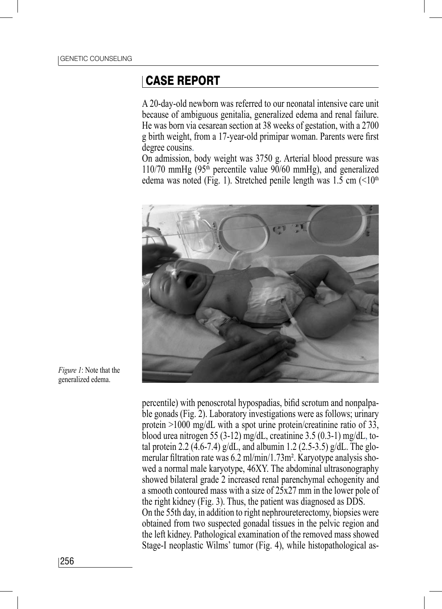#### CASE REPORT

A 20-day-old newborn was referred to our neonatal intensive care unit because of ambiguous genitalia, generalized edema and renal failure. He was born via cesarean section at 38 weeks of gestation, with a 2700 g birth weight, from a 17-year-old primipar woman. Parents were first degree cousins.

On admission, body weight was 3750 g. Arterial blood pressure was 110/70 mmHg  $(95<sup>th</sup>$  percentile value 90/60 mmHg), and generalized edema was noted (Fig. 1). Stretched penile length was  $1.5 \text{ cm } (\leq 10^{th}$ 



*Figure 1*: Note that the generalized edema.

percentile) with penoscrotal hypospadias, bifid scrotum and nonpalpable gonads (Fig. 2). Laboratory investigations were as follows; urinary protein >1000 mg/dL with a spot urine protein/creatinine ratio of 33, blood urea nitrogen 55 (3-12) mg/dL, creatinine 3.5 (0.3-1) mg/dL, total protein 2.2 (4.6-7.4) g/dL, and albumin 1.2 (2.5-3.5) g/dL. The glomerular filtration rate was 6.2 ml/min/1.73m². Karyotype analysis showed a normal male karyotype, 46XY. The abdominal ultrasonography showed bilateral grade 2 increased renal parenchymal echogenity and a smooth contoured mass with a size of 25x27 mm in the lower pole of the right kidney (Fig. 3). Thus, the patient was diagnosed as DDS. On the 55th day, in addition to right nephroureterectomy, biopsies were obtained from two suspected gonadal tissues in the pelvic region and the left kidney. Pathological examination of the removed mass showed Stage-I neoplastic Wilms' tumor (Fig. 4), while histopathological as-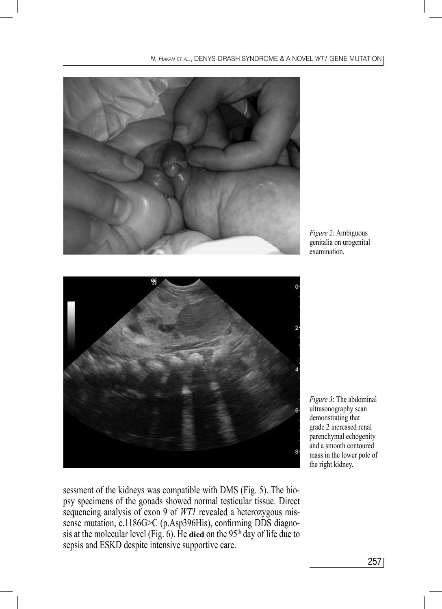

*Figure 2:* Ambiguous genitalia on urogenital examination.



*Figure 3*: The abdominal ultrasonography scan demonstrating that grade 2 increased renal parenchymal echogenity and a smooth contoured mass in the lower pole of the right kidney.

sessment of the kidneys was compatible with DMS (Fig. 5). The biopsy specimens of the gonads showed normal testicular tissue. Direct sequencing analysis of exon 9 of *WT1* revealed a heterozygous missense mutation, c.1186G>C (p.Asp396His), confirming DDS diagnosis at the molecular level (Fig. 6). He **died** on the 95th day of life due to sepsis and ESKD despite intensive supportive care.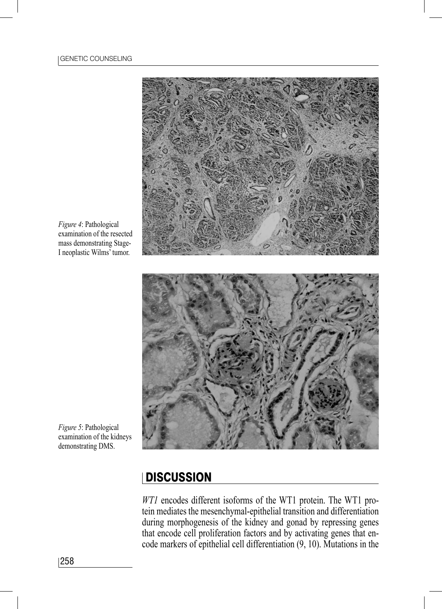

*Figure 4*: Pathological examination of the resected mass demonstrating Stage-I neoplastic Wilms' tumor.

*Figure 5*: Pathological examination of the kidneys demonstrating DMS.

## DISCUSSION

*WT1* encodes different isoforms of the WT1 protein. The WT1 protein mediates the mesenchymal-epithelial transition and differentiation during morphogenesis of the kidney and gonad by repressing genes that encode cell proliferation factors and by activating genes that encode markers of epithelial cell differentiation (9, 10). Mutations in the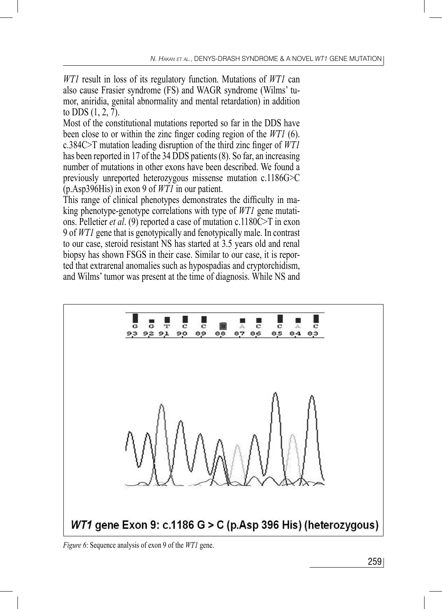*WT1* result in loss of its regulatory function. Mutations of *WT1* can also cause Frasier syndrome (FS) and WAGR syndrome (Wilms' tumor, aniridia, genital abnormality and mental retardation) in addition to DDS (1, 2, 7).

Most of the constitutional mutations reported so far in the DDS have been close to or within the zinc finger coding region of the *WT1* (6). c.384C>T mutation leading disruption of the third zinc finger of *WT1* has been reported in 17 of the 34 DDS patients (8). So far, an increasing number of mutations in other exons have been described. We found a previously unreported heterozygous missense mutation c.1186G>C (p.Asp396His) in exon 9 of *WT1* in our patient.

This range of clinical phenotypes demonstrates the difficulty in making phenotype-genotype correlations with type of *WT1* gene mutations. Pelletier *et al*. (9) reported a case of mutation c.1180C>T in exon 9 of *WT1* gene that is genotypically and fenotypically male. In contrast to our case, steroid resistant NS has started at 3.5 years old and renal biopsy has shown FSGS in their case. Similar to our case, it is reported that extrarenal anomalies such as hypospadias and cryptorchidism, and Wilms' tumor was present at the time of diagnosis. While NS and



*Figure 6*: Sequence analysis of exon 9 of the *WT1* gene.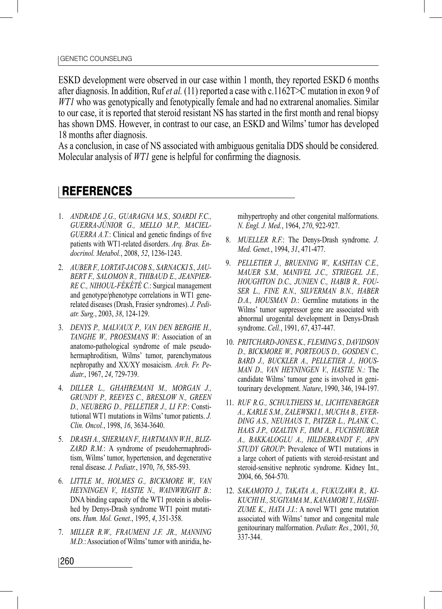ESKD development were observed in our case within 1 month, they reported ESKD 6 months after diagnosis. In addition, Ruf *et al.* (11) reported a case with c.1162T>C mutation in exon 9 of *WT1* who was genotypically and fenotypically female and had no extrarenal anomalies. Similar to our case, it is reported that steroid resistant NS has started in the first month and renal biopsy has shown DMS. However, in contrast to our case, an ESKD and Wilms' tumor has developed 18 months after diagnosis.

As a conclusion, in case of NS associated with ambiguous genitalia DDS should be considered. Molecular analysis of *WT1* gene is helpful for confirming the diagnosis.

## **REFERENCES**

- 1. *ANDRADE J.G., GUARAGNA M.S., SOARDI F.C., GUERRA-JÚNIOR G., MELLO M.P., MACIEL-GUERRA A.T.*: Clinical and genetic findings of five patients with WT1-related disorders. *Arq. Bras. Endocrinol. Metabol.*, 2008, *52*, 1236-1243.
- 2. *AUBER F., LORTAT-JACOB S., SARNACKI S., JAU-BERT F., SALOMON R., THIBAUD E., JEANPIER-RE C., NIHOUL-FÉKÉTÉ C.*: Surgical management and genotype/phenotype correlations in WT1 generelated diseases (Drash, Frasier syndromes). *J. Pediatr. Surg.*, 2003, *38*, 124-129.
- 3. *DENYS P., MALVAUX P., VAN DEN BERGHE H., TANGHE W., PROESMANS W.*: Association of an anatomo-pathological syndrome of male pseudohermaphroditism, Wilms' tumor, parenchymatous nephropathy and XX/XY mosaicism. *Arch. Fr. Pediatr.*, 1967, *24*, 729-739.
- 4. *DILLER L., GHAHREMANI M., MORGAN J., GRUNDY P., REEVES C., BRESLOW N., GREEN D., NEUBERG D., PELLETIER J., LI F.P.*: Constitutional WT1 mutations in Wilms' tumor patients. *J. Clin. Oncol.*, 1998, *16*, 3634-3640.
- 5. *DRASH A., SHERMAN F., HARTMANN W.H., BLIZ-ZARD R.M.*: A syndrome of pseudohermaphroditism, Wilms' tumor, hypertension, and degenerative renal disease. *J. Pediatr.*, 1970, *76*, 585-593.
- 6. *LITTLE M., HOLMES G., BICKMORE W., VAN HEYNINGEN V., HASTIE N., WAINWRIGHT B.*: DNA binding capacity of the WT1 protein is abolished by Denys-Drash syndrome WT1 point mutations. *Hum. Mol. Genet.*, 1995, *4*, 351-358.
- 7. *MILLER R.W., FRAUMENI J.F. JR., MANNING M.D.*: Association of Wilms' tumor with aniridia, he-

mihypertrophy and other congenital malformations. *N. Engl. J. Med.*, 1964, *270*, 922-927.

- 8. *MUELLER R.F.*: The Denys-Drash syndrome. *J. Med. Genet.*, 1994, *31*, 471-477.
- 9. *PELLETIER J., BRUENING W., KASHTAN C.E., MAUER S.M., MANIVEL J.C., STRIEGEL J.E., HOUGHTON D.C., JUNIEN C., HABIB R., FOU-SER L., FINE R.N., SILVERMAN B.N., HABER D.A., HOUSMAN D.*: Germline mutations in the Wilms' tumor suppressor gene are associated with abnormal urogenital development in Denys-Drash syndrome. *Cell.*, 1991, *67*, 437-447.
- 10. *PRITCHARD-JONES K., FLEMING S., DAVIDSON D., BICKMORE W., PORTEOUS D., GOSDEN C., BARD J., BUCKLER A., PELLETIER J., HOUS-MAN D., VAN HEYNINGEN V., HASTIE N.:* The candidate Wilms' tumour gene is involved in genitourinary development. *Nature*, 1990, 346, 194-197.
- 11. *RUF R.G., SCHULTHEISS M., LICHTENBERGER A., KARLE S.M., ZALEWSKI I., MUCHA B., EVER-DING A.S., NEUHAUS T., PATZER L., PLANK C., HAAS J.P., OZALTIN F., IMM A., FUCHSHUBER A., BAKKALOGLU A., HILDEBRANDT F., APN STUDY GROUP*: Prevalence of WT1 mutations in a large cohort of patients with steroid-resistant and steroid-sensitive nephrotic syndrome. Kidney Int., 2004, 66, 564-570.
- 12. *SAKAMOTO J., TAKATA A., FUKUZAWA R., KI-KUCHI H., SUGIYAMA M., KANAMORI Y., HASHI-ZUME K., HATA J.I.*: A novel WT1 gene mutation associated with Wilms' tumor and congenital male genitourinary malformation. *Pediatr. Res.*, 2001, *50*, 337-344.